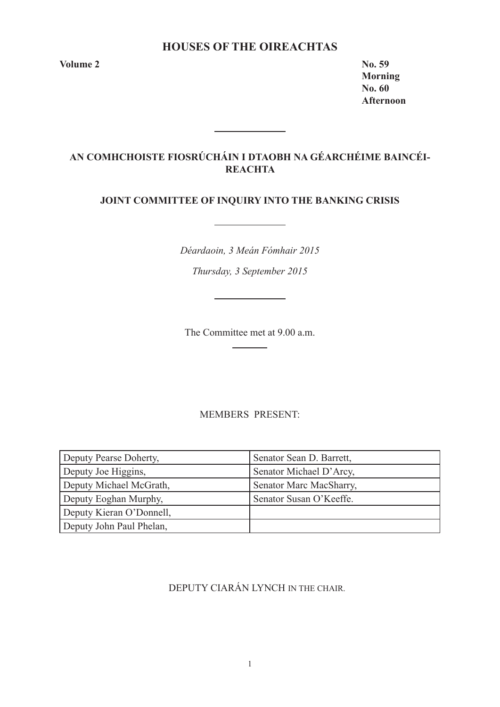# **HOUSES OF THE OIREACHTAS**

**Volume 2 No. 59** 

**Morning No. 60 Afternoon**

# **AN COMHCHOISTE FIOSRÚCHÁIN I DTAOBH NA GÉARCHÉIME BAINCÉI-REACHTA**

# **JOINT COMMITTEE OF INQUIRY INTO THE BANKING CRISIS**

*Déardaoin, 3 Meán Fómhair 2015 Thursday, 3 September 2015*

The Committee met at 9.00 a.m.

# MEMBERS PRESENT:

| Deputy Pearse Doherty,   | Senator Sean D. Barrett, |
|--------------------------|--------------------------|
| Deputy Joe Higgins,      | Senator Michael D'Arcy,  |
| Deputy Michael McGrath,  | Senator Marc MacSharry,  |
| Deputy Eoghan Murphy,    | Senator Susan O'Keeffe.  |
| Deputy Kieran O'Donnell, |                          |
| Deputy John Paul Phelan, |                          |

DEPUTY CIARÁN LYNCH IN THE CHAIR.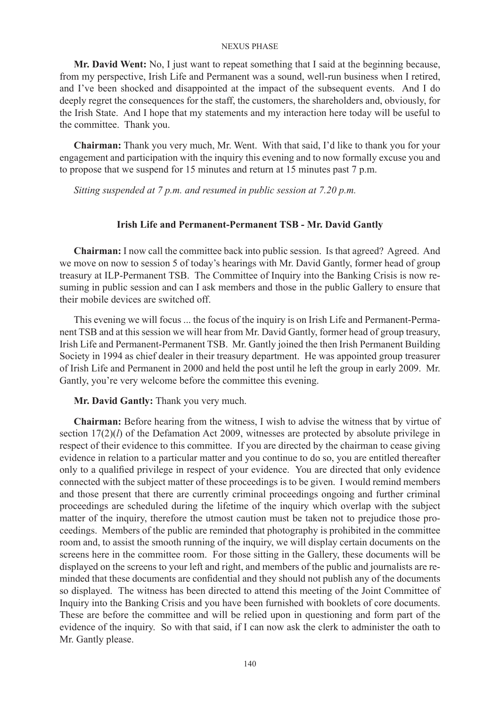**Mr. David Went:** No, I just want to repeat something that I said at the beginning because, from my perspective, Irish Life and Permanent was a sound, well-run business when I retired, and I've been shocked and disappointed at the impact of the subsequent events. And I do deeply regret the consequences for the staff, the customers, the shareholders and, obviously, for the Irish State. And I hope that my statements and my interaction here today will be useful to the committee. Thank you.

**Chairman:** Thank you very much, Mr. Went. With that said, I'd like to thank you for your engagement and participation with the inquiry this evening and to now formally excuse you and to propose that we suspend for 15 minutes and return at 15 minutes past 7 p.m.

*Sitting suspended at 7 p.m. and resumed in public session at 7.20 p.m.*

### **Irish Life and Permanent-Permanent TSB - Mr. David Gantly**

**Chairman:** I now call the committee back into public session. Is that agreed? Agreed. And we move on now to session 5 of today's hearings with Mr. David Gantly, former head of group treasury at ILP-Permanent TSB. The Committee of Inquiry into the Banking Crisis is now resuming in public session and can I ask members and those in the public Gallery to ensure that their mobile devices are switched off.

This evening we will focus ... the focus of the inquiry is on Irish Life and Permanent-Permanent TSB and at this session we will hear from Mr. David Gantly, former head of group treasury, Irish Life and Permanent-Permanent TSB. Mr. Gantly joined the then Irish Permanent Building Society in 1994 as chief dealer in their treasury department. He was appointed group treasurer of Irish Life and Permanent in 2000 and held the post until he left the group in early 2009. Mr. Gantly, you're very welcome before the committee this evening.

**Mr. David Gantly:** Thank you very much.

**Chairman:** Before hearing from the witness, I wish to advise the witness that by virtue of section  $17(2)(l)$  of the Defamation Act 2009, witnesses are protected by absolute privilege in respect of their evidence to this committee. If you are directed by the chairman to cease giving evidence in relation to a particular matter and you continue to do so, you are entitled thereafter only to a qualified privilege in respect of your evidence. You are directed that only evidence connected with the subject matter of these proceedings is to be given. I would remind members and those present that there are currently criminal proceedings ongoing and further criminal proceedings are scheduled during the lifetime of the inquiry which overlap with the subject matter of the inquiry, therefore the utmost caution must be taken not to prejudice those proceedings. Members of the public are reminded that photography is prohibited in the committee room and, to assist the smooth running of the inquiry, we will display certain documents on the screens here in the committee room. For those sitting in the Gallery, these documents will be displayed on the screens to your left and right, and members of the public and journalists are reminded that these documents are confidential and they should not publish any of the documents so displayed. The witness has been directed to attend this meeting of the Joint Committee of Inquiry into the Banking Crisis and you have been furnished with booklets of core documents. These are before the committee and will be relied upon in questioning and form part of the evidence of the inquiry. So with that said, if I can now ask the clerk to administer the oath to Mr. Gantly please.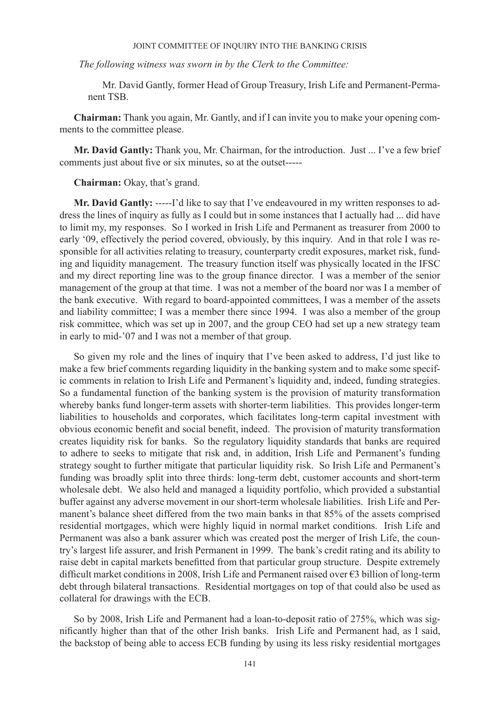*The following witness was sworn in by the Clerk to the Committee:*

Mr. David Gantly, former Head of Group Treasury, Irish Life and Permanent-Permanent TSB.

**Chairman:** Thank you again, Mr. Gantly, and if I can invite you to make your opening comments to the committee please.

**Mr. David Gantly:** Thank you, Mr. Chairman, for the introduction. Just ... I've a few brief comments just about five or six minutes, so at the outset-----

**Chairman:** Okay, that's grand.

**Mr. David Gantly:** -----I'd like to say that I've endeavoured in my written responses to address the lines of inquiry as fully as I could but in some instances that I actually had ... did have to limit my, my responses. So I worked in Irish Life and Permanent as treasurer from 2000 to early '09, effectively the period covered, obviously, by this inquiry. And in that role I was responsible for all activities relating to treasury, counterparty credit exposures, market risk, funding and liquidity management. The treasury function itself was physically located in the IFSC and my direct reporting line was to the group finance director. I was a member of the senior management of the group at that time. I was not a member of the board nor was I a member of the bank executive. With regard to board-appointed committees, I was a member of the assets and liability committee; I was a member there since 1994. I was also a member of the group risk committee, which was set up in 2007, and the group CEO had set up a new strategy team in early to mid-'07 and I was not a member of that group.

So given my role and the lines of inquiry that I've been asked to address, I'd just like to make a few brief comments regarding liquidity in the banking system and to make some specific comments in relation to Irish Life and Permanent's liquidity and, indeed, funding strategies. So a fundamental function of the banking system is the provision of maturity transformation whereby banks fund longer-term assets with shorter-term liabilities. This provides longer-term liabilities to households and corporates, which facilitates long-term capital investment with obvious economic benefit and social benefit, indeed. The provision of maturity transformation creates liquidity risk for banks. So the regulatory liquidity standards that banks are required to adhere to seeks to mitigate that risk and, in addition, Irish Life and Permanent's funding strategy sought to further mitigate that particular liquidity risk. So Irish Life and Permanent's funding was broadly split into three thirds: long-term debt, customer accounts and short-term wholesale debt. We also held and managed a liquidity portfolio, which provided a substantial buffer against any adverse movement in our short-term wholesale liabilities. Irish Life and Permanent's balance sheet differed from the two main banks in that 85% of the assets comprised residential mortgages, which were highly liquid in normal market conditions. Irish Life and Permanent was also a bank assurer which was created post the merger of Irish Life, the country's largest life assurer, and Irish Permanent in 1999. The bank's credit rating and its ability to raise debt in capital markets benefitted from that particular group structure. Despite extremely difficult market conditions in 2008, Irish Life and Permanent raised over €3 billion of long-term debt through bilateral transactions. Residential mortgages on top of that could also be used as collateral for drawings with the ECB.

So by 2008, Irish Life and Permanent had a loan-to-deposit ratio of 275%, which was significantly higher than that of the other Irish banks. Irish Life and Permanent had, as I said, the backstop of being able to access ECB funding by using its less risky residential mortgages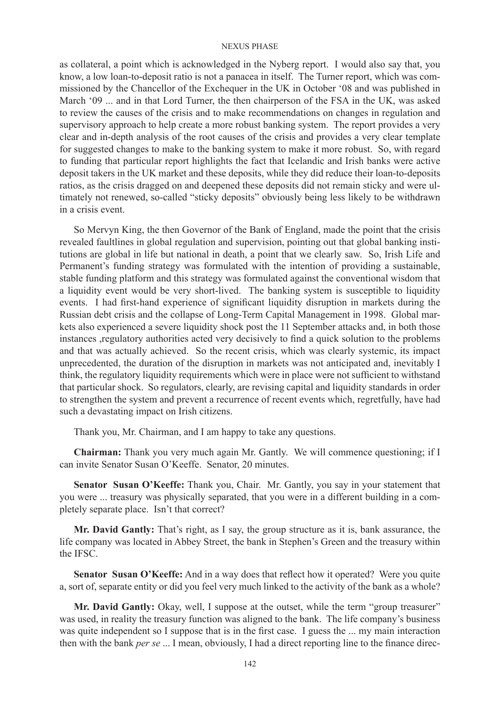as collateral, a point which is acknowledged in the Nyberg report. I would also say that, you know, a low loan-to-deposit ratio is not a panacea in itself. The Turner report, which was commissioned by the Chancellor of the Exchequer in the UK in October '08 and was published in March '09 ... and in that Lord Turner, the then chairperson of the FSA in the UK, was asked to review the causes of the crisis and to make recommendations on changes in regulation and supervisory approach to help create a more robust banking system. The report provides a very clear and in-depth analysis of the root causes of the crisis and provides a very clear template for suggested changes to make to the banking system to make it more robust. So, with regard to funding that particular report highlights the fact that Icelandic and Irish banks were active deposit takers in the UK market and these deposits, while they did reduce their loan-to-deposits ratios, as the crisis dragged on and deepened these deposits did not remain sticky and were ultimately not renewed, so-called "sticky deposits" obviously being less likely to be withdrawn in a crisis event.

So Mervyn King, the then Governor of the Bank of England, made the point that the crisis revealed faultlines in global regulation and supervision, pointing out that global banking institutions are global in life but national in death, a point that we clearly saw. So, Irish Life and Permanent's funding strategy was formulated with the intention of providing a sustainable, stable funding platform and this strategy was formulated against the conventional wisdom that a liquidity event would be very short-lived. The banking system is susceptible to liquidity events. I had first-hand experience of significant liquidity disruption in markets during the Russian debt crisis and the collapse of Long-Term Capital Management in 1998. Global markets also experienced a severe liquidity shock post the 11 September attacks and, in both those instances ,regulatory authorities acted very decisively to find a quick solution to the problems and that was actually achieved. So the recent crisis, which was clearly systemic, its impact unprecedented, the duration of the disruption in markets was not anticipated and, inevitably I think, the regulatory liquidity requirements which were in place were not sufficient to withstand that particular shock. So regulators, clearly, are revising capital and liquidity standards in order to strengthen the system and prevent a recurrence of recent events which, regretfully, have had such a devastating impact on Irish citizens.

Thank you, Mr. Chairman, and I am happy to take any questions.

**Chairman:** Thank you very much again Mr. Gantly. We will commence questioning; if I can invite Senator Susan O'Keeffe. Senator, 20 minutes.

**Senator Susan O'Keeffe:** Thank you, Chair. Mr. Gantly, you say in your statement that you were ... treasury was physically separated, that you were in a different building in a completely separate place. Isn't that correct?

**Mr. David Gantly:** That's right, as I say, the group structure as it is, bank assurance, the life company was located in Abbey Street, the bank in Stephen's Green and the treasury within the IFSC.

**Senator Susan O'Keeffe:** And in a way does that reflect how it operated? Were you quite a, sort of, separate entity or did you feel very much linked to the activity of the bank as a whole?

**Mr. David Gantly:** Okay, well, I suppose at the outset, while the term "group treasurer" was used, in reality the treasury function was aligned to the bank. The life company's business was quite independent so I suppose that is in the first case. I guess the ... my main interaction then with the bank *per se* ... I mean, obviously, I had a direct reporting line to the finance direc-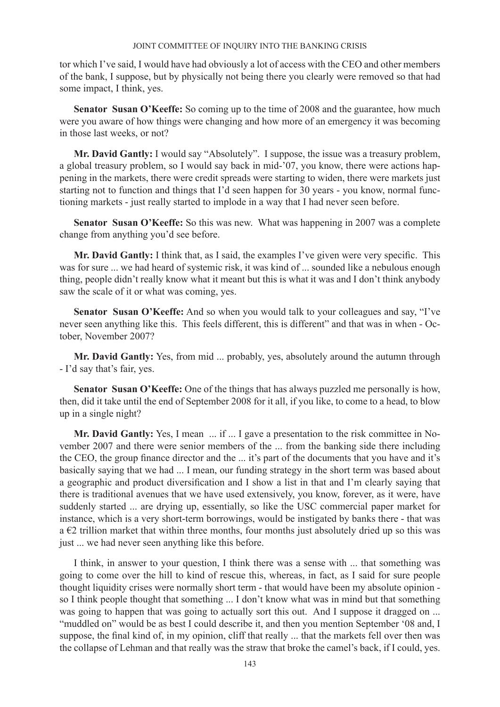tor which I've said, I would have had obviously a lot of access with the CEO and other members of the bank, I suppose, but by physically not being there you clearly were removed so that had some impact, I think, yes.

Senator Susan O'Keeffe: So coming up to the time of 2008 and the guarantee, how much were you aware of how things were changing and how more of an emergency it was becoming in those last weeks, or not?

**Mr. David Gantly:** I would say "Absolutely". I suppose, the issue was a treasury problem, a global treasury problem, so I would say back in mid-'07, you know, there were actions happening in the markets, there were credit spreads were starting to widen, there were markets just starting not to function and things that I'd seen happen for 30 years - you know, normal functioning markets - just really started to implode in a way that I had never seen before.

**Senator Susan O'Keeffe:** So this was new. What was happening in 2007 was a complete change from anything you'd see before.

**Mr. David Gantly:** I think that, as I said, the examples I've given were very specific. This was for sure ... we had heard of systemic risk, it was kind of ... sounded like a nebulous enough thing, people didn't really know what it meant but this is what it was and I don't think anybody saw the scale of it or what was coming, yes.

**Senator Susan O'Keeffe:** And so when you would talk to your colleagues and say, "I've never seen anything like this. This feels different, this is different" and that was in when - October, November 2007?

**Mr. David Gantly:** Yes, from mid ... probably, yes, absolutely around the autumn through - I'd say that's fair, yes.

**Senator Susan O'Keeffe:** One of the things that has always puzzled me personally is how, then, did it take until the end of September 2008 for it all, if you like, to come to a head, to blow up in a single night?

Mr. David Gantly: Yes, I mean ... if ... I gave a presentation to the risk committee in November 2007 and there were senior members of the ... from the banking side there including the CEO, the group finance director and the ... it's part of the documents that you have and it's basically saying that we had ... I mean, our funding strategy in the short term was based about a geographic and product diversification and I show a list in that and I'm clearly saying that there is traditional avenues that we have used extensively, you know, forever, as it were, have suddenly started ... are drying up, essentially, so like the USC commercial paper market for instance, which is a very short-term borrowings, would be instigated by banks there - that was a  $\epsilon$ 2 trillion market that within three months, four months just absolutely dried up so this was just ... we had never seen anything like this before.

I think, in answer to your question, I think there was a sense with ... that something was going to come over the hill to kind of rescue this, whereas, in fact, as I said for sure people thought liquidity crises were normally short term - that would have been my absolute opinion so I think people thought that something ... I don't know what was in mind but that something was going to happen that was going to actually sort this out. And I suppose it dragged on ... "muddled on" would be as best I could describe it, and then you mention September '08 and, I suppose, the final kind of, in my opinion, cliff that really ... that the markets fell over then was the collapse of Lehman and that really was the straw that broke the camel's back, if I could, yes.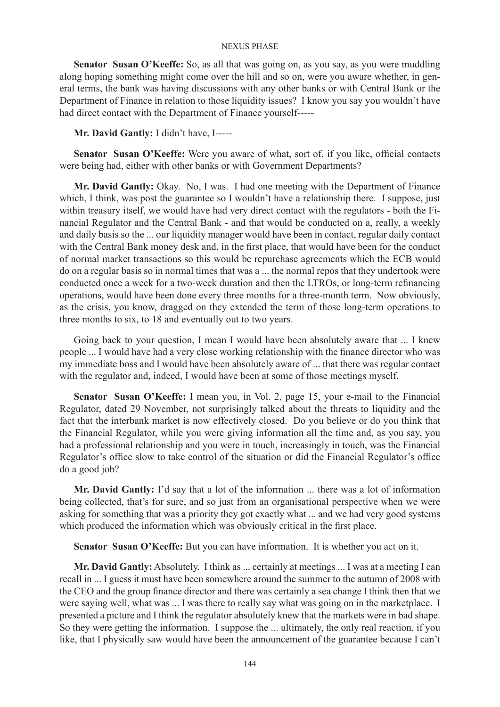**Senator Susan O'Keeffe:** So, as all that was going on, as you say, as you were muddling along hoping something might come over the hill and so on, were you aware whether, in general terms, the bank was having discussions with any other banks or with Central Bank or the Department of Finance in relation to those liquidity issues? I know you say you wouldn't have had direct contact with the Department of Finance yourself-----

**Mr. David Gantly:** I didn't have, I-----

**Senator Susan O'Keeffe:** Were you aware of what, sort of, if you like, official contacts were being had, either with other banks or with Government Departments?

**Mr. David Gantly:** Okay. No, I was. I had one meeting with the Department of Finance which, I think, was post the guarantee so I wouldn't have a relationship there. I suppose, just within treasury itself, we would have had very direct contact with the regulators - both the Financial Regulator and the Central Bank - and that would be conducted on a, really, a weekly and daily basis so the ... our liquidity manager would have been in contact, regular daily contact with the Central Bank money desk and, in the first place, that would have been for the conduct of normal market transactions so this would be repurchase agreements which the ECB would do on a regular basis so in normal times that was a ... the normal repos that they undertook were conducted once a week for a two-week duration and then the LTROs, or long-term refinancing operations, would have been done every three months for a three-month term. Now obviously, as the crisis, you know, dragged on they extended the term of those long-term operations to three months to six, to 18 and eventually out to two years.

Going back to your question, I mean I would have been absolutely aware that ... I knew people ... I would have had a very close working relationship with the finance director who was my immediate boss and I would have been absolutely aware of ... that there was regular contact with the regulator and, indeed, I would have been at some of those meetings myself.

**Senator Susan O'Keeffe:** I mean you, in Vol. 2, page 15, your e-mail to the Financial Regulator, dated 29 November, not surprisingly talked about the threats to liquidity and the fact that the interbank market is now effectively closed. Do you believe or do you think that the Financial Regulator, while you were giving information all the time and, as you say, you had a professional relationship and you were in touch, increasingly in touch, was the Financial Regulator's office slow to take control of the situation or did the Financial Regulator's office do a good job?

**Mr. David Gantly:** I'd say that a lot of the information ... there was a lot of information being collected, that's for sure, and so just from an organisational perspective when we were asking for something that was a priority they got exactly what ... and we had very good systems which produced the information which was obviously critical in the first place.

**Senator Susan O'Keeffe:** But you can have information. It is whether you act on it.

**Mr. David Gantly:** Absolutely. I think as ... certainly at meetings ... I was at a meeting I can recall in ... I guess it must have been somewhere around the summer to the autumn of 2008 with the CEO and the group finance director and there was certainly a sea change I think then that we were saying well, what was ... I was there to really say what was going on in the marketplace. I presented a picture and I think the regulator absolutely knew that the markets were in bad shape. So they were getting the information. I suppose the ... ultimately, the only real reaction, if you like, that I physically saw would have been the announcement of the guarantee because I can't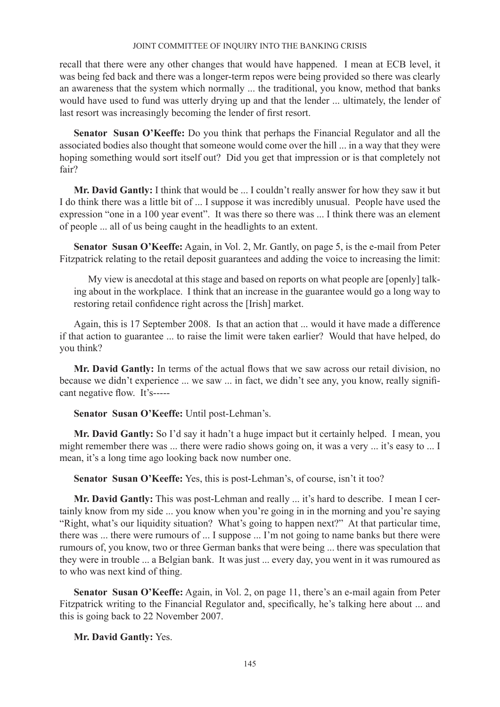recall that there were any other changes that would have happened. I mean at ECB level, it was being fed back and there was a longer-term repos were being provided so there was clearly an awareness that the system which normally ... the traditional, you know, method that banks would have used to fund was utterly drying up and that the lender ... ultimately, the lender of last resort was increasingly becoming the lender of first resort.

**Senator Susan O'Keeffe:** Do you think that perhaps the Financial Regulator and all the associated bodies also thought that someone would come over the hill ... in a way that they were hoping something would sort itself out? Did you get that impression or is that completely not fair?

**Mr. David Gantly:** I think that would be ... I couldn't really answer for how they saw it but I do think there was a little bit of ... I suppose it was incredibly unusual. People have used the expression "one in a 100 year event". It was there so there was ... I think there was an element of people ... all of us being caught in the headlights to an extent.

**Senator Susan O'Keeffe:** Again, in Vol. 2, Mr. Gantly, on page 5, is the e-mail from Peter Fitzpatrick relating to the retail deposit guarantees and adding the voice to increasing the limit:

My view is anecdotal at this stage and based on reports on what people are [openly] talking about in the workplace. I think that an increase in the guarantee would go a long way to restoring retail confidence right across the [Irish] market.

Again, this is 17 September 2008. Is that an action that ... would it have made a difference if that action to guarantee ... to raise the limit were taken earlier? Would that have helped, do you think?

**Mr. David Gantly:** In terms of the actual flows that we saw across our retail division, no because we didn't experience ... we saw ... in fact, we didn't see any, you know, really significant negative flow. It's-----

**Senator Susan O'Keeffe:** Until post-Lehman's.

**Mr. David Gantly:** So I'd say it hadn't a huge impact but it certainly helped. I mean, you might remember there was ... there were radio shows going on, it was a very ... it's easy to ... I mean, it's a long time ago looking back now number one.

**Senator Susan O'Keeffe:** Yes, this is post-Lehman's, of course, isn't it too?

**Mr. David Gantly:** This was post-Lehman and really ... it's hard to describe. I mean I certainly know from my side ... you know when you're going in in the morning and you're saying "Right, what's our liquidity situation? What's going to happen next?" At that particular time, there was ... there were rumours of ... I suppose ... I'm not going to name banks but there were rumours of, you know, two or three German banks that were being ... there was speculation that they were in trouble ... a Belgian bank. It was just ... every day, you went in it was rumoured as to who was next kind of thing.

**Senator Susan O'Keeffe:** Again, in Vol. 2, on page 11, there's an e-mail again from Peter Fitzpatrick writing to the Financial Regulator and, specifically, he's talking here about ... and this is going back to 22 November 2007.

**Mr. David Gantly:** Yes.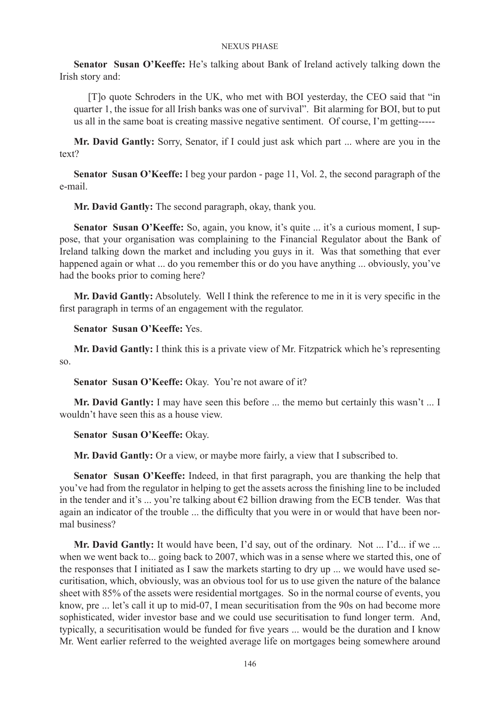**Senator Susan O'Keeffe:** He's talking about Bank of Ireland actively talking down the Irish story and:

[T]o quote Schroders in the UK, who met with BOI yesterday, the CEO said that "in quarter 1, the issue for all Irish banks was one of survival". Bit alarming for BOI, but to put us all in the same boat is creating massive negative sentiment. Of course, I'm getting-----

**Mr. David Gantly:** Sorry, Senator, if I could just ask which part ... where are you in the text?

**Senator Susan O'Keeffe:** I beg your pardon - page 11, Vol. 2, the second paragraph of the e-mail.

**Mr. David Gantly:** The second paragraph, okay, thank you.

Senator Susan O'Keeffe: So, again, you know, it's quite ... it's a curious moment, I suppose, that your organisation was complaining to the Financial Regulator about the Bank of Ireland talking down the market and including you guys in it. Was that something that ever happened again or what ... do you remember this or do you have anything ... obviously, you've had the books prior to coming here?

**Mr. David Gantly:** Absolutely. Well I think the reference to me in it is very specific in the first paragraph in terms of an engagement with the regulator.

**Senator Susan O'Keeffe:** Yes.

**Mr. David Gantly:** I think this is a private view of Mr. Fitzpatrick which he's representing so.

**Senator Susan O'Keeffe:** Okay. You're not aware of it?

**Mr. David Gantly:** I may have seen this before ... the memo but certainly this wasn't ... I wouldn't have seen this as a house view.

**Senator Susan O'Keeffe:** Okay.

**Mr. David Gantly:** Or a view, or maybe more fairly, a view that I subscribed to.

**Senator Susan O'Keeffe:** Indeed, in that first paragraph, you are thanking the help that you've had from the regulator in helping to get the assets across the finishing line to be included in the tender and it's ... you're talking about  $\epsilon$ 2 billion drawing from the ECB tender. Was that again an indicator of the trouble ... the difficulty that you were in or would that have been normal business?

**Mr. David Gantly:** It would have been, I'd say, out of the ordinary. Not ... I'd... if we ... when we went back to... going back to 2007, which was in a sense where we started this, one of the responses that I initiated as I saw the markets starting to dry up ... we would have used securitisation, which, obviously, was an obvious tool for us to use given the nature of the balance sheet with 85% of the assets were residential mortgages. So in the normal course of events, you know, pre ... let's call it up to mid-07, I mean securitisation from the 90s on had become more sophisticated, wider investor base and we could use securitisation to fund longer term. And, typically, a securitisation would be funded for five years ... would be the duration and I know Mr. Went earlier referred to the weighted average life on mortgages being somewhere around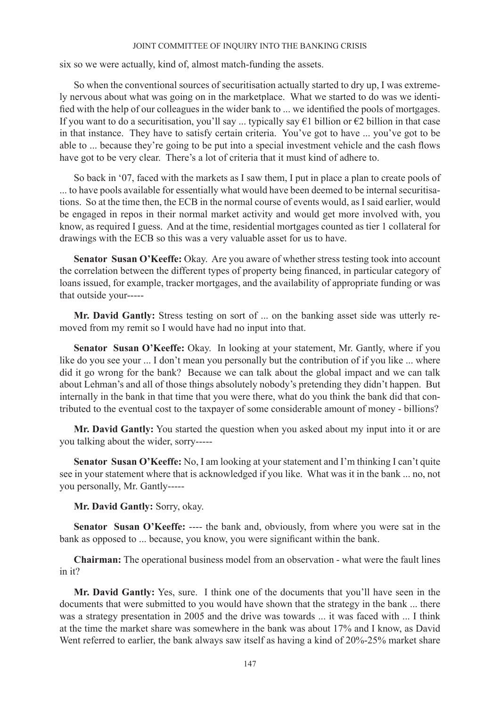six so we were actually, kind of, almost match-funding the assets.

So when the conventional sources of securitisation actually started to dry up, I was extremely nervous about what was going on in the marketplace. What we started to do was we identified with the help of our colleagues in the wider bank to ... we identified the pools of mortgages. If you want to do a securitisation, you'll say ... typically say  $\epsilon$ 1 billion or  $\epsilon$ 2 billion in that case in that instance. They have to satisfy certain criteria. You've got to have ... you've got to be able to ... because they're going to be put into a special investment vehicle and the cash flows have got to be very clear. There's a lot of criteria that it must kind of adhere to.

So back in '07, faced with the markets as I saw them, I put in place a plan to create pools of ... to have pools available for essentially what would have been deemed to be internal securitisations. So at the time then, the ECB in the normal course of events would, as I said earlier, would be engaged in repos in their normal market activity and would get more involved with, you know, as required I guess. And at the time, residential mortgages counted as tier 1 collateral for drawings with the ECB so this was a very valuable asset for us to have.

**Senator Susan O'Keeffe:** Okay. Are you aware of whether stress testing took into account the correlation between the different types of property being financed, in particular category of loans issued, for example, tracker mortgages, and the availability of appropriate funding or was that outside your-----

**Mr. David Gantly:** Stress testing on sort of ... on the banking asset side was utterly removed from my remit so I would have had no input into that.

**Senator Susan O'Keeffe:** Okay. In looking at your statement, Mr. Gantly, where if you like do you see your ... I don't mean you personally but the contribution of if you like ... where did it go wrong for the bank? Because we can talk about the global impact and we can talk about Lehman's and all of those things absolutely nobody's pretending they didn't happen. But internally in the bank in that time that you were there, what do you think the bank did that contributed to the eventual cost to the taxpayer of some considerable amount of money - billions?

**Mr. David Gantly:** You started the question when you asked about my input into it or are you talking about the wider, sorry-----

**Senator Susan O'Keeffe:** No, I am looking at your statement and I'm thinking I can't quite see in your statement where that is acknowledged if you like. What was it in the bank ... no, not you personally, Mr. Gantly-----

**Mr. David Gantly:** Sorry, okay.

Senator Susan O'Keeffe: ---- the bank and, obviously, from where you were sat in the bank as opposed to ... because, you know, you were significant within the bank.

**Chairman:** The operational business model from an observation - what were the fault lines in it?

**Mr. David Gantly:** Yes, sure. I think one of the documents that you'll have seen in the documents that were submitted to you would have shown that the strategy in the bank ... there was a strategy presentation in 2005 and the drive was towards ... it was faced with ... I think at the time the market share was somewhere in the bank was about 17% and I know, as David Went referred to earlier, the bank always saw itself as having a kind of 20%-25% market share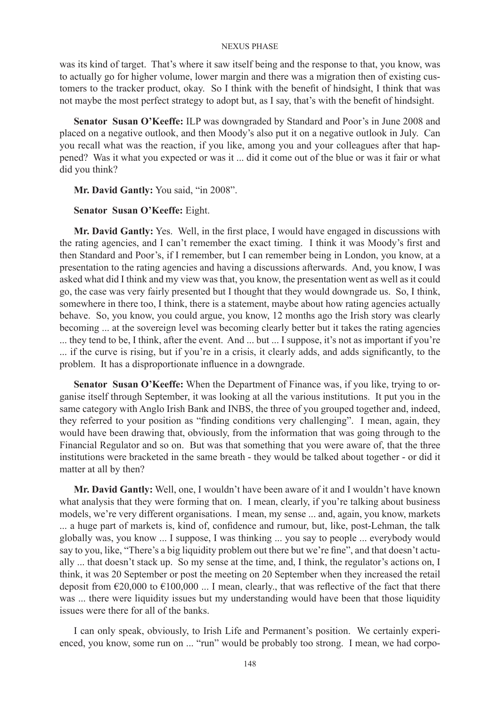was its kind of target. That's where it saw itself being and the response to that, you know, was to actually go for higher volume, lower margin and there was a migration then of existing customers to the tracker product, okay. So I think with the benefit of hindsight, I think that was not maybe the most perfect strategy to adopt but, as I say, that's with the benefit of hindsight.

**Senator Susan O'Keeffe:** ILP was downgraded by Standard and Poor's in June 2008 and placed on a negative outlook, and then Moody's also put it on a negative outlook in July. Can you recall what was the reaction, if you like, among you and your colleagues after that happened? Was it what you expected or was it ... did it come out of the blue or was it fair or what did you think?

**Mr. David Gantly:** You said, "in 2008".

# **Senator Susan O'Keeffe:** Eight.

**Mr. David Gantly:** Yes. Well, in the first place, I would have engaged in discussions with the rating agencies, and I can't remember the exact timing. I think it was Moody's first and then Standard and Poor's, if I remember, but I can remember being in London, you know, at a presentation to the rating agencies and having a discussions afterwards. And, you know, I was asked what did I think and my view was that, you know, the presentation went as well as it could go, the case was very fairly presented but I thought that they would downgrade us. So, I think, somewhere in there too, I think, there is a statement, maybe about how rating agencies actually behave. So, you know, you could argue, you know, 12 months ago the Irish story was clearly becoming ... at the sovereign level was becoming clearly better but it takes the rating agencies ... they tend to be, I think, after the event. And ... but ... I suppose, it's not as important if you're ... if the curve is rising, but if you're in a crisis, it clearly adds, and adds significantly, to the problem. It has a disproportionate influence in a downgrade.

**Senator Susan O'Keeffe:** When the Department of Finance was, if you like, trying to organise itself through September, it was looking at all the various institutions. It put you in the same category with Anglo Irish Bank and INBS, the three of you grouped together and, indeed, they referred to your position as "finding conditions very challenging". I mean, again, they would have been drawing that, obviously, from the information that was going through to the Financial Regulator and so on. But was that something that you were aware of, that the three institutions were bracketed in the same breath - they would be talked about together - or did it matter at all by then?

**Mr. David Gantly:** Well, one, I wouldn't have been aware of it and I wouldn't have known what analysis that they were forming that on. I mean, clearly, if you're talking about business models, we're very different organisations. I mean, my sense ... and, again, you know, markets ... a huge part of markets is, kind of, confidence and rumour, but, like, post-Lehman, the talk globally was, you know ... I suppose, I was thinking ... you say to people ... everybody would say to you, like, "There's a big liquidity problem out there but we're fine", and that doesn't actually ... that doesn't stack up. So my sense at the time, and, I think, the regulator's actions on, I think, it was 20 September or post the meeting on 20 September when they increased the retail deposit from  $\epsilon$ 20,000 to  $\epsilon$ 100,000 ... I mean, clearly., that was reflective of the fact that there was ... there were liquidity issues but my understanding would have been that those liquidity issues were there for all of the banks.

I can only speak, obviously, to Irish Life and Permanent's position. We certainly experienced, you know, some run on ... "run" would be probably too strong. I mean, we had corpo-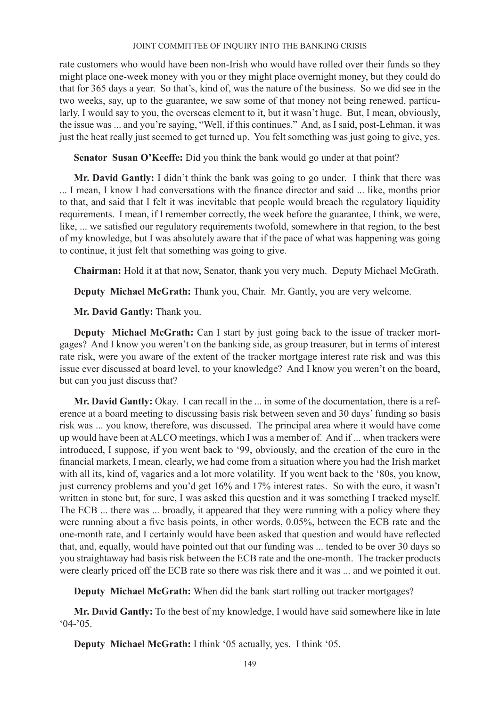rate customers who would have been non-Irish who would have rolled over their funds so they might place one-week money with you or they might place overnight money, but they could do that for 365 days a year. So that's, kind of, was the nature of the business. So we did see in the two weeks, say, up to the guarantee, we saw some of that money not being renewed, particularly, I would say to you, the overseas element to it, but it wasn't huge. But, I mean, obviously, the issue was ... and you're saying, "Well, if this continues." And, as I said, post-Lehman, it was just the heat really just seemed to get turned up. You felt something was just going to give, yes.

**Senator Susan O'Keeffe:** Did you think the bank would go under at that point?

**Mr. David Gantly:** I didn't think the bank was going to go under. I think that there was ... I mean, I know I had conversations with the finance director and said ... like, months prior to that, and said that I felt it was inevitable that people would breach the regulatory liquidity requirements. I mean, if I remember correctly, the week before the guarantee, I think, we were, like, ... we satisfied our regulatory requirements twofold, somewhere in that region, to the best of my knowledge, but I was absolutely aware that if the pace of what was happening was going to continue, it just felt that something was going to give.

**Chairman:** Hold it at that now, Senator, thank you very much. Deputy Michael McGrath.

**Deputy Michael McGrath:** Thank you, Chair. Mr. Gantly, you are very welcome.

**Mr. David Gantly:** Thank you.

**Deputy Michael McGrath:** Can I start by just going back to the issue of tracker mortgages? And I know you weren't on the banking side, as group treasurer, but in terms of interest rate risk, were you aware of the extent of the tracker mortgage interest rate risk and was this issue ever discussed at board level, to your knowledge? And I know you weren't on the board, but can you just discuss that?

**Mr. David Gantly:** Okay. I can recall in the ... in some of the documentation, there is a reference at a board meeting to discussing basis risk between seven and 30 days' funding so basis risk was ... you know, therefore, was discussed. The principal area where it would have come up would have been at ALCO meetings, which I was a member of. And if ... when trackers were introduced, I suppose, if you went back to '99, obviously, and the creation of the euro in the financial markets, I mean, clearly, we had come from a situation where you had the Irish market with all its, kind of, vagaries and a lot more volatility. If you went back to the '80s, you know, just currency problems and you'd get 16% and 17% interest rates. So with the euro, it wasn't written in stone but, for sure, I was asked this question and it was something I tracked myself. The ECB ... there was ... broadly, it appeared that they were running with a policy where they were running about a five basis points, in other words, 0.05%, between the ECB rate and the one-month rate, and I certainly would have been asked that question and would have reflected that, and, equally, would have pointed out that our funding was ... tended to be over 30 days so you straightaway had basis risk between the ECB rate and the one-month. The tracker products were clearly priced off the ECB rate so there was risk there and it was ... and we pointed it out.

**Deputy Michael McGrath:** When did the bank start rolling out tracker mortgages?

**Mr. David Gantly:** To the best of my knowledge, I would have said somewhere like in late  $(04-05)$ .

**Deputy Michael McGrath:** I think '05 actually, yes. I think '05.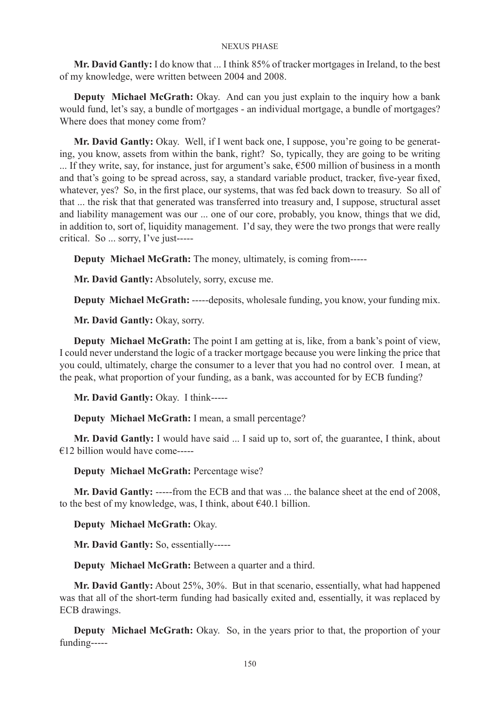**Mr. David Gantly:** I do know that ... I think 85% of tracker mortgages in Ireland, to the best of my knowledge, were written between 2004 and 2008.

**Deputy Michael McGrath:** Okay. And can you just explain to the inquiry how a bank would fund, let's say, a bundle of mortgages - an individual mortgage, a bundle of mortgages? Where does that money come from?

**Mr. David Gantly:** Okay. Well, if I went back one, I suppose, you're going to be generating, you know, assets from within the bank, right? So, typically, they are going to be writing ... If they write, say, for instance, just for argument's sake,  $\epsilon$ 500 million of business in a month and that's going to be spread across, say, a standard variable product, tracker, five-year fixed, whatever, yes? So, in the first place, our systems, that was fed back down to treasury. So all of that ... the risk that that generated was transferred into treasury and, I suppose, structural asset and liability management was our ... one of our core, probably, you know, things that we did, in addition to, sort of, liquidity management. I'd say, they were the two prongs that were really critical. So ... sorry, I've just-----

**Deputy Michael McGrath:** The money, ultimately, is coming from-----

**Mr. David Gantly:** Absolutely, sorry, excuse me.

**Deputy Michael McGrath:** -----deposits, wholesale funding, you know, your funding mix.

**Mr. David Gantly:** Okay, sorry.

**Deputy Michael McGrath:** The point I am getting at is, like, from a bank's point of view, I could never understand the logic of a tracker mortgage because you were linking the price that you could, ultimately, charge the consumer to a lever that you had no control over. I mean, at the peak, what proportion of your funding, as a bank, was accounted for by ECB funding?

**Mr. David Gantly:** Okay. I think-----

**Deputy Michael McGrath:** I mean, a small percentage?

**Mr. David Gantly:** I would have said ... I said up to, sort of, the guarantee, I think, about €12 billion would have come-----

**Deputy Michael McGrath:** Percentage wise?

**Mr. David Gantly:** -----from the ECB and that was ... the balance sheet at the end of 2008, to the best of my knowledge, was, I think, about  $\epsilon$ 40.1 billion.

**Deputy Michael McGrath:** Okay.

**Mr. David Gantly:** So, essentially-----

**Deputy Michael McGrath:** Between a quarter and a third.

**Mr. David Gantly:** About 25%, 30%. But in that scenario, essentially, what had happened was that all of the short-term funding had basically exited and, essentially, it was replaced by ECB drawings.

**Deputy Michael McGrath:** Okay. So, in the years prior to that, the proportion of your funding-----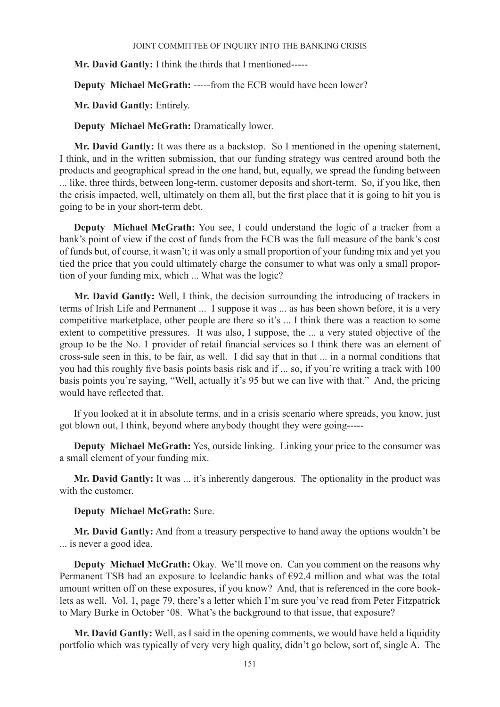**Mr. David Gantly:** I think the thirds that I mentioned-----

**Deputy Michael McGrath:** -----from the ECB would have been lower?

**Mr. David Gantly:** Entirely.

**Deputy Michael McGrath:** Dramatically lower.

**Mr. David Gantly:** It was there as a backstop. So I mentioned in the opening statement, I think, and in the written submission, that our funding strategy was centred around both the products and geographical spread in the one hand, but, equally, we spread the funding between ... like, three thirds, between long-term, customer deposits and short-term. So, if you like, then the crisis impacted, well, ultimately on them all, but the first place that it is going to hit you is going to be in your short-term debt.

**Deputy Michael McGrath:** You see, I could understand the logic of a tracker from a bank's point of view if the cost of funds from the ECB was the full measure of the bank's cost of funds but, of course, it wasn't; it was only a small proportion of your funding mix and yet you tied the price that you could ultimately charge the consumer to what was only a small proportion of your funding mix, which ... What was the logic?

**Mr. David Gantly:** Well, I think, the decision surrounding the introducing of trackers in terms of Irish Life and Permanent ... I suppose it was ... as has been shown before, it is a very competitive marketplace, other people are there so it's ... I think there was a reaction to some extent to competitive pressures. It was also, I suppose, the ... a very stated objective of the group to be the No. 1 provider of retail financial services so I think there was an element of cross-sale seen in this, to be fair, as well. I did say that in that ... in a normal conditions that you had this roughly five basis points basis risk and if ... so, if you're writing a track with 100 basis points you're saying, "Well, actually it's 95 but we can live with that." And, the pricing would have reflected that.

If you looked at it in absolute terms, and in a crisis scenario where spreads, you know, just got blown out, I think, beyond where anybody thought they were going-----

**Deputy Michael McGrath:** Yes, outside linking. Linking your price to the consumer was a small element of your funding mix.

**Mr. David Gantly:** It was ... it's inherently dangerous. The optionality in the product was with the customer.

**Deputy Michael McGrath:** Sure.

**Mr. David Gantly:** And from a treasury perspective to hand away the options wouldn't be ... is never a good idea.

**Deputy Michael McGrath:** Okay. We'll move on. Can you comment on the reasons why Permanent TSB had an exposure to Icelandic banks of €92.4 million and what was the total amount written off on these exposures, if you know? And, that is referenced in the core booklets as well. Vol. 1, page 79, there's a letter which I'm sure you've read from Peter Fitzpatrick to Mary Burke in October '08. What's the background to that issue, that exposure?

**Mr. David Gantly:** Well, as I said in the opening comments, we would have held a liquidity portfolio which was typically of very very high quality, didn't go below, sort of, single A. The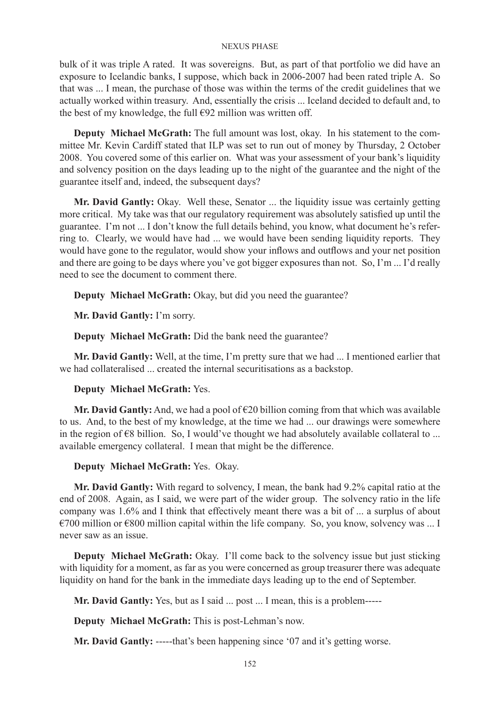bulk of it was triple A rated. It was sovereigns. But, as part of that portfolio we did have an exposure to Icelandic banks, I suppose, which back in 2006-2007 had been rated triple A. So that was ... I mean, the purchase of those was within the terms of the credit guidelines that we actually worked within treasury. And, essentially the crisis ... Iceland decided to default and, to the best of my knowledge, the full  $\epsilon$ 92 million was written off.

**Deputy Michael McGrath:** The full amount was lost, okay. In his statement to the committee Mr. Kevin Cardiff stated that ILP was set to run out of money by Thursday, 2 October 2008. You covered some of this earlier on. What was your assessment of your bank's liquidity and solvency position on the days leading up to the night of the guarantee and the night of the guarantee itself and, indeed, the subsequent days?

**Mr. David Gantly:** Okay. Well these, Senator ... the liquidity issue was certainly getting more critical. My take was that our regulatory requirement was absolutely satisfied up until the guarantee. I'm not ... I don't know the full details behind, you know, what document he's referring to. Clearly, we would have had ... we would have been sending liquidity reports. They would have gone to the regulator, would show your inflows and outflows and your net position and there are going to be days where you've got bigger exposures than not. So, I'm ... I'd really need to see the document to comment there.

**Deputy Michael McGrath:** Okay, but did you need the guarantee?

**Mr. David Gantly:** I'm sorry.

**Deputy Michael McGrath:** Did the bank need the guarantee?

**Mr. David Gantly:** Well, at the time, I'm pretty sure that we had ... I mentioned earlier that we had collateralised ... created the internal securitisations as a backstop.

# **Deputy Michael McGrath:** Yes.

**Mr. David Gantly:** And, we had a pool of  $\epsilon$ 20 billion coming from that which was available to us. And, to the best of my knowledge, at the time we had ... our drawings were somewhere in the region of  $\epsilon$ 8 billion. So, I would've thought we had absolutely available collateral to ... available emergency collateral. I mean that might be the difference.

# **Deputy Michael McGrath:** Yes. Okay.

**Mr. David Gantly:** With regard to solvency, I mean, the bank had 9.2% capital ratio at the end of 2008. Again, as I said, we were part of the wider group. The solvency ratio in the life company was 1.6% and I think that effectively meant there was a bit of ... a surplus of about  $€700$  million or  $€800$  million capital within the life company. So, you know, solvency was ... I never saw as an issue.

**Deputy Michael McGrath:** Okay. I'll come back to the solvency issue but just sticking with liquidity for a moment, as far as you were concerned as group treasurer there was adequate liquidity on hand for the bank in the immediate days leading up to the end of September.

**Mr. David Gantly:** Yes, but as I said ... post ... I mean, this is a problem-----

**Deputy Michael McGrath:** This is post-Lehman's now.

**Mr. David Gantly:** -----that's been happening since '07 and it's getting worse.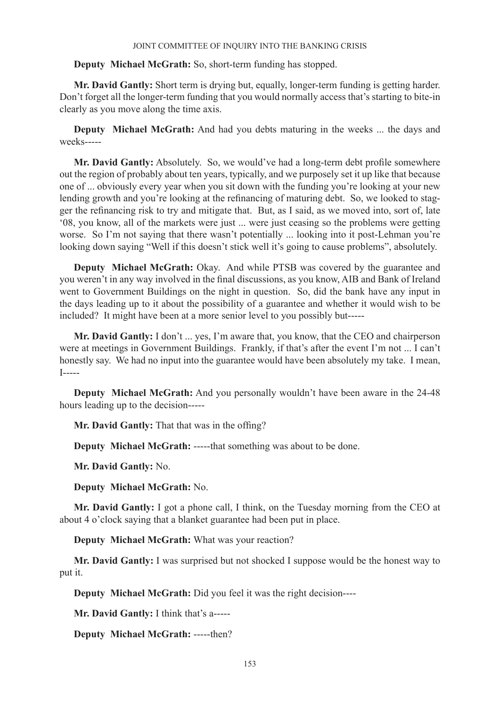# **Deputy Michael McGrath:** So, short-term funding has stopped.

**Mr. David Gantly:** Short term is drying but, equally, longer-term funding is getting harder. Don't forget all the longer-term funding that you would normally access that's starting to bite-in clearly as you move along the time axis.

**Deputy Michael McGrath:** And had you debts maturing in the weeks ... the days and weeks-----

**Mr. David Gantly:** Absolutely. So, we would've had a long-term debt profile somewhere out the region of probably about ten years, typically, and we purposely set it up like that because one of ... obviously every year when you sit down with the funding you're looking at your new lending growth and you're looking at the refinancing of maturing debt. So, we looked to stagger the refinancing risk to try and mitigate that. But, as I said, as we moved into, sort of, late '08, you know, all of the markets were just ... were just ceasing so the problems were getting worse. So I'm not saying that there wasn't potentially ... looking into it post-Lehman you're looking down saying "Well if this doesn't stick well it's going to cause problems", absolutely.

**Deputy Michael McGrath:** Okay. And while PTSB was covered by the guarantee and you weren't in any way involved in the final discussions, as you know, AIB and Bank of Ireland went to Government Buildings on the night in question. So, did the bank have any input in the days leading up to it about the possibility of a guarantee and whether it would wish to be included? It might have been at a more senior level to you possibly but-----

**Mr. David Gantly:** I don't ... yes, I'm aware that, you know, that the CEO and chairperson were at meetings in Government Buildings. Frankly, if that's after the event I'm not ... I can't honestly say. We had no input into the guarantee would have been absolutely my take. I mean, I-----

**Deputy Michael McGrath:** And you personally wouldn't have been aware in the 24-48 hours leading up to the decision-----

**Mr. David Gantly:** That that was in the offing?

**Deputy Michael McGrath:** -----that something was about to be done.

**Mr. David Gantly:** No.

**Deputy Michael McGrath:** No.

**Mr. David Gantly:** I got a phone call, I think, on the Tuesday morning from the CEO at about 4 o'clock saying that a blanket guarantee had been put in place.

**Deputy Michael McGrath:** What was your reaction?

**Mr. David Gantly:** I was surprised but not shocked I suppose would be the honest way to put it.

**Deputy Michael McGrath:** Did you feel it was the right decision----

**Mr. David Gantly:** I think that's a-----

**Deputy Michael McGrath:** -----then?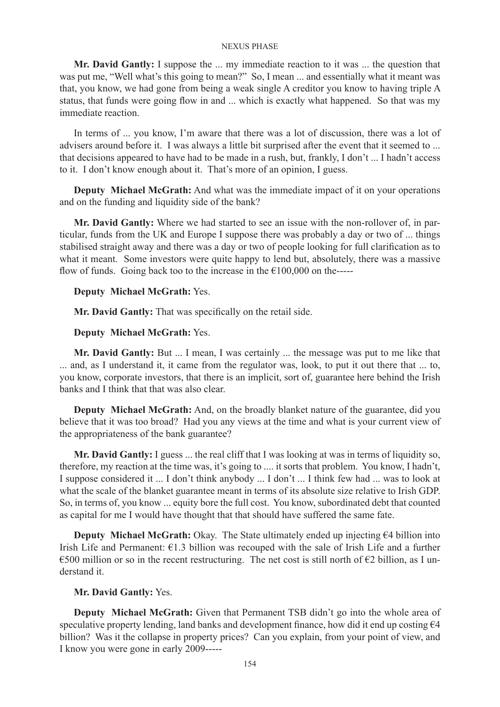**Mr. David Gantly:** I suppose the ... my immediate reaction to it was ... the question that was put me, "Well what's this going to mean?" So, I mean ... and essentially what it meant was that, you know, we had gone from being a weak single A creditor you know to having triple A status, that funds were going flow in and ... which is exactly what happened. So that was my immediate reaction.

In terms of ... you know, I'm aware that there was a lot of discussion, there was a lot of advisers around before it. I was always a little bit surprised after the event that it seemed to ... that decisions appeared to have had to be made in a rush, but, frankly, I don't ... I hadn't access to it. I don't know enough about it. That's more of an opinion, I guess.

**Deputy Michael McGrath:** And what was the immediate impact of it on your operations and on the funding and liquidity side of the bank?

**Mr. David Gantly:** Where we had started to see an issue with the non-rollover of, in particular, funds from the UK and Europe I suppose there was probably a day or two of ... things stabilised straight away and there was a day or two of people looking for full clarification as to what it meant. Some investors were quite happy to lend but, absolutely, there was a massive flow of funds. Going back too to the increase in the  $\epsilon$ 100,000 on the-----

# **Deputy Michael McGrath:** Yes.

**Mr. David Gantly:** That was specifically on the retail side.

### **Deputy Michael McGrath:** Yes.

**Mr. David Gantly:** But ... I mean, I was certainly ... the message was put to me like that ... and, as I understand it, it came from the regulator was, look, to put it out there that ... to, you know, corporate investors, that there is an implicit, sort of, guarantee here behind the Irish banks and I think that that was also clear.

**Deputy Michael McGrath:** And, on the broadly blanket nature of the guarantee, did you believe that it was too broad? Had you any views at the time and what is your current view of the appropriateness of the bank guarantee?

**Mr. David Gantly:** I guess ... the real cliff that I was looking at was in terms of liquidity so, therefore, my reaction at the time was, it's going to .... it sorts that problem. You know, I hadn't, I suppose considered it ... I don't think anybody ... I don't ... I think few had ... was to look at what the scale of the blanket guarantee meant in terms of its absolute size relative to Irish GDP. So, in terms of, you know ... equity bore the full cost. You know, subordinated debt that counted as capital for me I would have thought that that should have suffered the same fate.

**Deputy Michael McGrath:** Okay. The State ultimately ended up injecting €4 billion into Irish Life and Permanent:  $\epsilon$ 1.3 billion was recouped with the sale of Irish Life and a further €500 million or so in the recent restructuring. The net cost is still north of  $€2$  billion, as I understand it.

# **Mr. David Gantly:** Yes.

**Deputy Michael McGrath:** Given that Permanent TSB didn't go into the whole area of speculative property lending, land banks and development finance, how did it end up costing  $\epsilon$ 4 billion? Was it the collapse in property prices? Can you explain, from your point of view, and I know you were gone in early 2009-----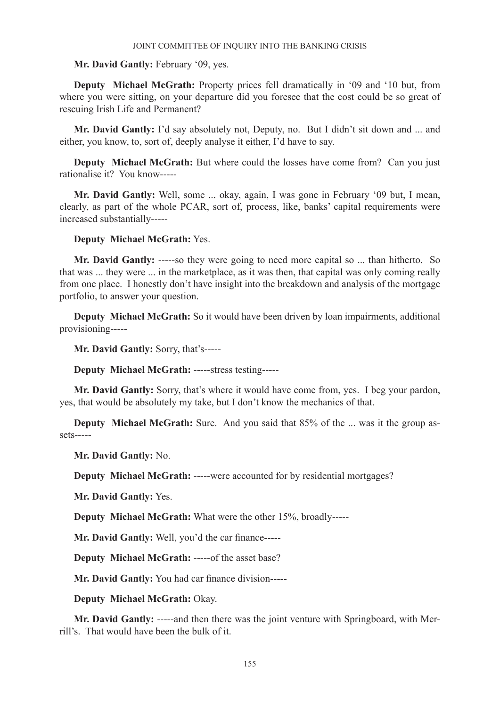# **Mr. David Gantly:** February '09, yes.

**Deputy Michael McGrath:** Property prices fell dramatically in '09 and '10 but, from where you were sitting, on your departure did you foresee that the cost could be so great of rescuing Irish Life and Permanent?

**Mr. David Gantly:** I'd say absolutely not, Deputy, no. But I didn't sit down and ... and either, you know, to, sort of, deeply analyse it either, I'd have to say.

**Deputy Michael McGrath:** But where could the losses have come from? Can you just rationalise it? You know-----

**Mr. David Gantly:** Well, some ... okay, again, I was gone in February '09 but, I mean, clearly, as part of the whole PCAR, sort of, process, like, banks' capital requirements were increased substantially-----

# **Deputy Michael McGrath:** Yes.

**Mr. David Gantly:** -----so they were going to need more capital so ... than hitherto. So that was ... they were ... in the marketplace, as it was then, that capital was only coming really from one place. I honestly don't have insight into the breakdown and analysis of the mortgage portfolio, to answer your question.

**Deputy Michael McGrath:** So it would have been driven by loan impairments, additional provisioning-----

**Mr. David Gantly:** Sorry, that's-----

**Deputy Michael McGrath:** -----stress testing-----

**Mr. David Gantly:** Sorry, that's where it would have come from, yes. I beg your pardon, yes, that would be absolutely my take, but I don't know the mechanics of that.

**Deputy Michael McGrath:** Sure. And you said that 85% of the ... was it the group assets-----

**Mr. David Gantly:** No.

**Deputy Michael McGrath:** -----were accounted for by residential mortgages?

**Mr. David Gantly:** Yes.

**Deputy Michael McGrath:** What were the other 15%, broadly-----

**Mr. David Gantly:** Well, you'd the car finance-----

**Deputy Michael McGrath: -----of the asset base?** 

**Mr. David Gantly:** You had car finance division-----

**Deputy Michael McGrath:** Okay.

**Mr. David Gantly:** -----and then there was the joint venture with Springboard, with Merrill's. That would have been the bulk of it.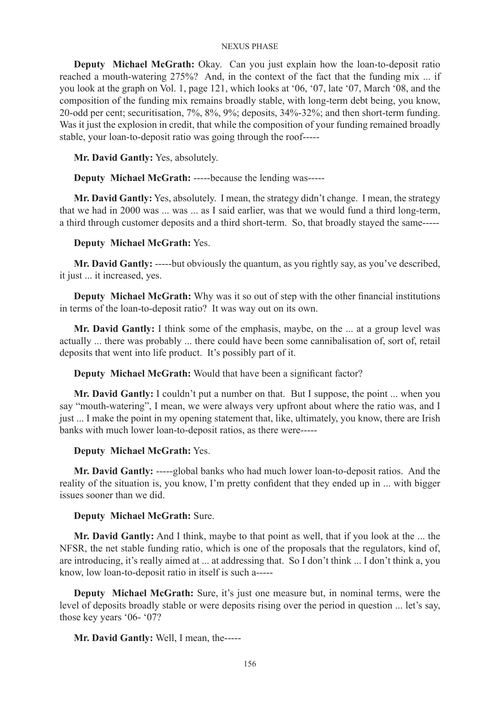**Deputy Michael McGrath:** Okay. Can you just explain how the loan-to-deposit ratio reached a mouth-watering 275%? And, in the context of the fact that the funding mix ... if you look at the graph on Vol. 1, page 121, which looks at '06, '07, late '07, March '08, and the composition of the funding mix remains broadly stable, with long-term debt being, you know, 20-odd per cent; securitisation, 7%, 8%, 9%; deposits, 34%-32%; and then short-term funding. Was it just the explosion in credit, that while the composition of your funding remained broadly stable, your loan-to-deposit ratio was going through the roof-----

**Mr. David Gantly:** Yes, absolutely.

**Deputy Michael McGrath:** -----because the lending was-----

**Mr. David Gantly:** Yes, absolutely. I mean, the strategy didn't change. I mean, the strategy that we had in 2000 was ... was ... as I said earlier, was that we would fund a third long-term, a third through customer deposits and a third short-term. So, that broadly stayed the same-----

# **Deputy Michael McGrath:** Yes.

**Mr. David Gantly:** -----but obviously the quantum, as you rightly say, as you've described, it just ... it increased, yes.

**Deputy Michael McGrath:** Why was it so out of step with the other financial institutions in terms of the loan-to-deposit ratio? It was way out on its own.

**Mr. David Gantly:** I think some of the emphasis, maybe, on the ... at a group level was actually ... there was probably ... there could have been some cannibalisation of, sort of, retail deposits that went into life product. It's possibly part of it.

**Deputy Michael McGrath:** Would that have been a significant factor?

**Mr. David Gantly:** I couldn't put a number on that. But I suppose, the point ... when you say "mouth-watering", I mean, we were always very upfront about where the ratio was, and I just ... I make the point in my opening statement that, like, ultimately, you know, there are Irish banks with much lower loan-to-deposit ratios, as there were-----

# **Deputy Michael McGrath:** Yes.

**Mr. David Gantly:** -----global banks who had much lower loan-to-deposit ratios. And the reality of the situation is, you know, I'm pretty confident that they ended up in ... with bigger issues sooner than we did.

# **Deputy Michael McGrath:** Sure.

**Mr. David Gantly:** And I think, maybe to that point as well, that if you look at the ... the NFSR, the net stable funding ratio, which is one of the proposals that the regulators, kind of, are introducing, it's really aimed at ... at addressing that. So I don't think ... I don't think a, you know, low loan-to-deposit ratio in itself is such a-----

**Deputy Michael McGrath:** Sure, it's just one measure but, in nominal terms, were the level of deposits broadly stable or were deposits rising over the period in question ... let's say, those key years '06- '07?

**Mr. David Gantly:** Well, I mean, the-----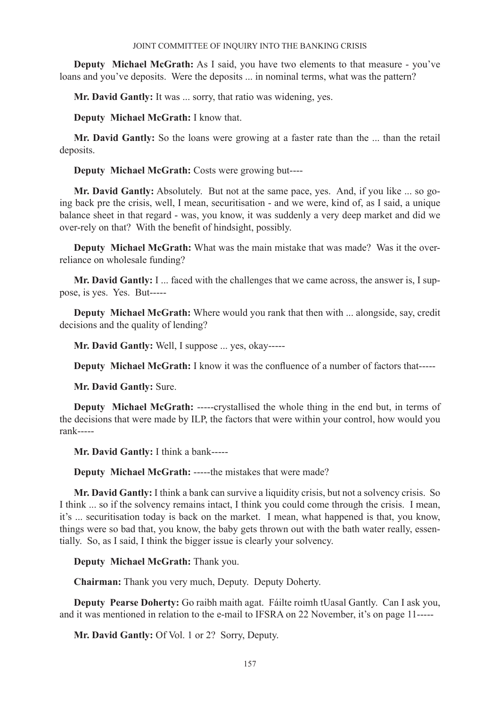**Deputy Michael McGrath:** As I said, you have two elements to that measure - you've loans and you've deposits. Were the deposits ... in nominal terms, what was the pattern?

**Mr. David Gantly:** It was ... sorry, that ratio was widening, yes.

**Deputy Michael McGrath:** I know that.

**Mr. David Gantly:** So the loans were growing at a faster rate than the ... than the retail deposits.

**Deputy Michael McGrath:** Costs were growing but----

**Mr. David Gantly:** Absolutely. But not at the same pace, yes. And, if you like ... so going back pre the crisis, well, I mean, securitisation - and we were, kind of, as I said, a unique balance sheet in that regard - was, you know, it was suddenly a very deep market and did we over-rely on that? With the benefit of hindsight, possibly.

**Deputy Michael McGrath:** What was the main mistake that was made? Was it the overreliance on wholesale funding?

**Mr. David Gantly:** I ... faced with the challenges that we came across, the answer is, I suppose, is yes. Yes. But-----

**Deputy Michael McGrath:** Where would you rank that then with ... alongside, say, credit decisions and the quality of lending?

**Mr. David Gantly:** Well, I suppose ... yes, okay-----

**Deputy Michael McGrath:** I know it was the confluence of a number of factors that-----

**Mr. David Gantly:** Sure.

**Deputy Michael McGrath:** -----crystallised the whole thing in the end but, in terms of the decisions that were made by ILP, the factors that were within your control, how would you rank-----

**Mr. David Gantly:** I think a bank-----

**Deputy Michael McGrath:** -----the mistakes that were made?

**Mr. David Gantly:** I think a bank can survive a liquidity crisis, but not a solvency crisis. So I think ... so if the solvency remains intact, I think you could come through the crisis. I mean, it's ... securitisation today is back on the market. I mean, what happened is that, you know, things were so bad that, you know, the baby gets thrown out with the bath water really, essentially. So, as I said, I think the bigger issue is clearly your solvency.

**Deputy Michael McGrath:** Thank you.

**Chairman:** Thank you very much, Deputy. Deputy Doherty.

**Deputy Pearse Doherty:** Go raibh maith agat. Fáilte roimh tUasal Gantly. Can I ask you, and it was mentioned in relation to the e-mail to IFSRA on 22 November, it's on page 11-----

**Mr. David Gantly:** Of Vol. 1 or 2? Sorry, Deputy.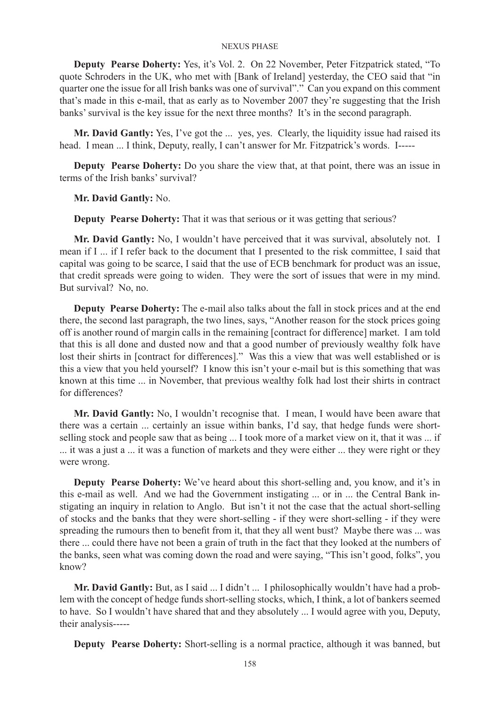**Deputy Pearse Doherty:** Yes, it's Vol. 2. On 22 November, Peter Fitzpatrick stated, "To quote Schroders in the UK, who met with [Bank of Ireland] yesterday, the CEO said that "in quarter one the issue for all Irish banks was one of survival"." Can you expand on this comment that's made in this e-mail, that as early as to November 2007 they're suggesting that the Irish banks' survival is the key issue for the next three months? It's in the second paragraph.

**Mr. David Gantly:** Yes, I've got the ... yes, yes. Clearly, the liquidity issue had raised its head. I mean ... I think, Deputy, really, I can't answer for Mr. Fitzpatrick's words. I-----

**Deputy Pearse Doherty:** Do you share the view that, at that point, there was an issue in terms of the Irish banks' survival?

**Mr. David Gantly:** No.

**Deputy Pearse Doherty:** That it was that serious or it was getting that serious?

**Mr. David Gantly:** No, I wouldn't have perceived that it was survival, absolutely not. I mean if I ... if I refer back to the document that I presented to the risk committee, I said that capital was going to be scarce, I said that the use of ECB benchmark for product was an issue, that credit spreads were going to widen. They were the sort of issues that were in my mind. But survival? No, no.

**Deputy Pearse Doherty:** The e-mail also talks about the fall in stock prices and at the end there, the second last paragraph, the two lines, says, "Another reason for the stock prices going off is another round of margin calls in the remaining [contract for difference] market. I am told that this is all done and dusted now and that a good number of previously wealthy folk have lost their shirts in [contract for differences]." Was this a view that was well established or is this a view that you held yourself? I know this isn't your e-mail but is this something that was known at this time ... in November, that previous wealthy folk had lost their shirts in contract for differences?

**Mr. David Gantly:** No, I wouldn't recognise that. I mean, I would have been aware that there was a certain ... certainly an issue within banks, I'd say, that hedge funds were shortselling stock and people saw that as being ... I took more of a market view on it, that it was ... if ... it was a just a ... it was a function of markets and they were either ... they were right or they were wrong.

**Deputy Pearse Doherty:** We've heard about this short-selling and, you know, and it's in this e-mail as well. And we had the Government instigating ... or in ... the Central Bank instigating an inquiry in relation to Anglo. But isn't it not the case that the actual short-selling of stocks and the banks that they were short-selling - if they were short-selling - if they were spreading the rumours then to benefit from it, that they all went bust? Maybe there was ... was there ... could there have not been a grain of truth in the fact that they looked at the numbers of the banks, seen what was coming down the road and were saying, "This isn't good, folks", you know?

Mr. David Gantly: But, as I said ... I didn't ... I philosophically wouldn't have had a problem with the concept of hedge funds short-selling stocks, which, I think, a lot of bankers seemed to have. So I wouldn't have shared that and they absolutely ... I would agree with you, Deputy, their analysis-----

**Deputy Pearse Doherty:** Short-selling is a normal practice, although it was banned, but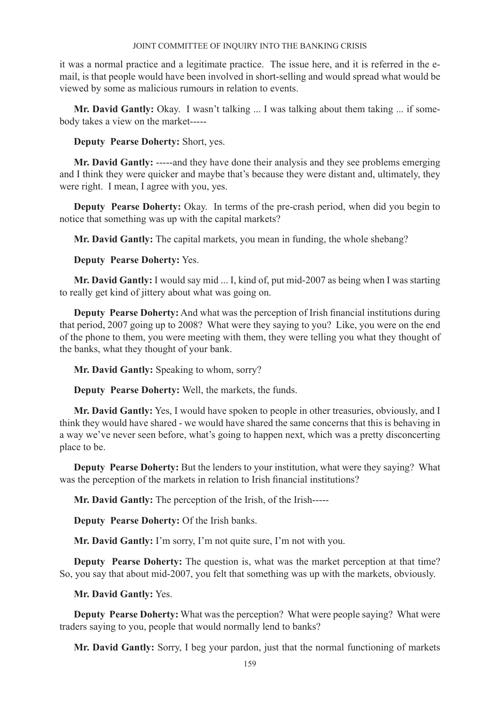it was a normal practice and a legitimate practice. The issue here, and it is referred in the email, is that people would have been involved in short-selling and would spread what would be viewed by some as malicious rumours in relation to events.

**Mr. David Gantly:** Okay. I wasn't talking ... I was talking about them taking ... if somebody takes a view on the market-----

**Deputy Pearse Doherty:** Short, yes.

**Mr. David Gantly:** -----and they have done their analysis and they see problems emerging and I think they were quicker and maybe that's because they were distant and, ultimately, they were right. I mean, I agree with you, yes.

**Deputy Pearse Doherty:** Okay. In terms of the pre-crash period, when did you begin to notice that something was up with the capital markets?

**Mr. David Gantly:** The capital markets, you mean in funding, the whole shebang?

**Deputy Pearse Doherty:** Yes.

**Mr. David Gantly:** I would say mid ... I, kind of, put mid-2007 as being when I was starting to really get kind of jittery about what was going on.

**Deputy Pearse Doherty:** And what was the perception of Irish financial institutions during that period, 2007 going up to 2008? What were they saying to you? Like, you were on the end of the phone to them, you were meeting with them, they were telling you what they thought of the banks, what they thought of your bank.

**Mr. David Gantly:** Speaking to whom, sorry?

**Deputy Pearse Doherty:** Well, the markets, the funds.

**Mr. David Gantly:** Yes, I would have spoken to people in other treasuries, obviously, and I think they would have shared - we would have shared the same concerns that this is behaving in a way we've never seen before, what's going to happen next, which was a pretty disconcerting place to be.

**Deputy Pearse Doherty:** But the lenders to your institution, what were they saying? What was the perception of the markets in relation to Irish financial institutions?

**Mr. David Gantly:** The perception of the Irish, of the Irish-----

**Deputy Pearse Doherty:** Of the Irish banks.

**Mr. David Gantly:** I'm sorry, I'm not quite sure, I'm not with you.

**Deputy Pearse Doherty:** The question is, what was the market perception at that time? So, you say that about mid-2007, you felt that something was up with the markets, obviously.

**Mr. David Gantly:** Yes.

**Deputy Pearse Doherty:** What was the perception? What were people saying? What were traders saying to you, people that would normally lend to banks?

**Mr. David Gantly:** Sorry, I beg your pardon, just that the normal functioning of markets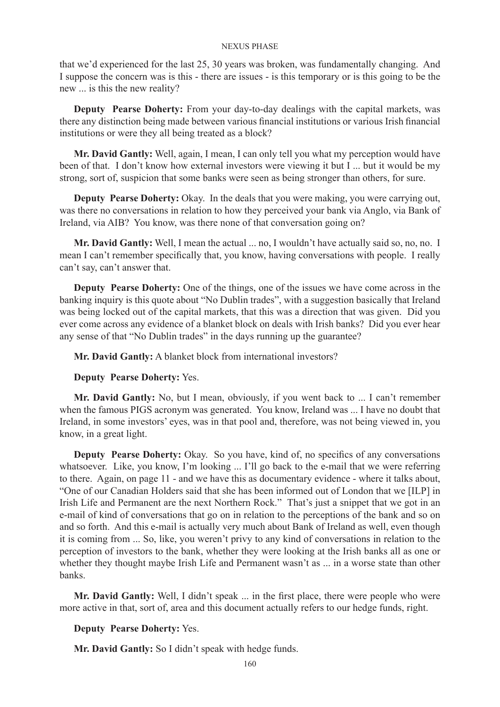that we'd experienced for the last 25, 30 years was broken, was fundamentally changing. And I suppose the concern was is this - there are issues - is this temporary or is this going to be the new ... is this the new reality?

**Deputy Pearse Doherty:** From your day-to-day dealings with the capital markets, was there any distinction being made between various financial institutions or various Irish financial institutions or were they all being treated as a block?

**Mr. David Gantly:** Well, again, I mean, I can only tell you what my perception would have been of that. I don't know how external investors were viewing it but I ... but it would be my strong, sort of, suspicion that some banks were seen as being stronger than others, for sure.

**Deputy Pearse Doherty:** Okay. In the deals that you were making, you were carrying out, was there no conversations in relation to how they perceived your bank via Anglo, via Bank of Ireland, via AIB? You know, was there none of that conversation going on?

**Mr. David Gantly:** Well, I mean the actual ... no, I wouldn't have actually said so, no, no. I mean I can't remember specifically that, you know, having conversations with people. I really can't say, can't answer that.

**Deputy Pearse Doherty:** One of the things, one of the issues we have come across in the banking inquiry is this quote about "No Dublin trades", with a suggestion basically that Ireland was being locked out of the capital markets, that this was a direction that was given. Did you ever come across any evidence of a blanket block on deals with Irish banks? Did you ever hear any sense of that "No Dublin trades" in the days running up the guarantee?

**Mr. David Gantly:** A blanket block from international investors?

### **Deputy Pearse Doherty:** Yes.

**Mr. David Gantly:** No, but I mean, obviously, if you went back to ... I can't remember when the famous PIGS acronym was generated. You know, Ireland was ... I have no doubt that Ireland, in some investors' eyes, was in that pool and, therefore, was not being viewed in, you know, in a great light.

**Deputy Pearse Doherty:** Okay. So you have, kind of, no specifics of any conversations whatsoever. Like, you know, I'm looking ... I'll go back to the e-mail that we were referring to there. Again, on page 11 - and we have this as documentary evidence - where it talks about, "One of our Canadian Holders said that she has been informed out of London that we [ILP] in Irish Life and Permanent are the next Northern Rock." That's just a snippet that we got in an e-mail of kind of conversations that go on in relation to the perceptions of the bank and so on and so forth. And this e-mail is actually very much about Bank of Ireland as well, even though it is coming from ... So, like, you weren't privy to any kind of conversations in relation to the perception of investors to the bank, whether they were looking at the Irish banks all as one or whether they thought maybe Irish Life and Permanent wasn't as ... in a worse state than other banks.

**Mr. David Gantly:** Well, I didn't speak ... in the first place, there were people who were more active in that, sort of, area and this document actually refers to our hedge funds, right.

## **Deputy Pearse Doherty:** Yes.

**Mr. David Gantly:** So I didn't speak with hedge funds.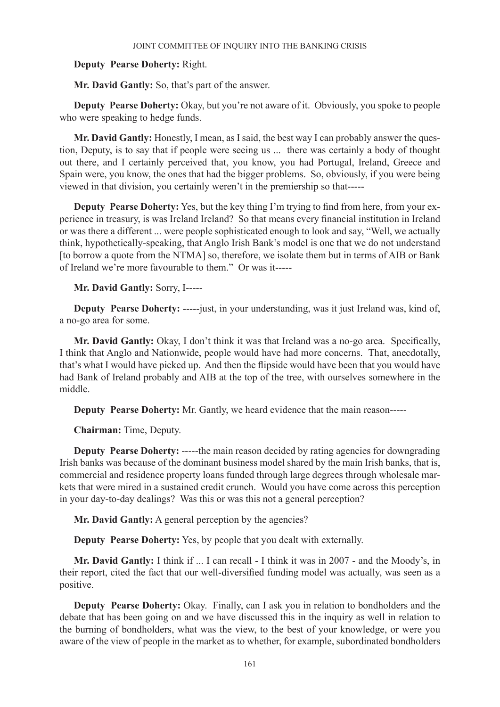# **Deputy Pearse Doherty:** Right.

**Mr. David Gantly:** So, that's part of the answer.

**Deputy Pearse Doherty:** Okay, but you're not aware of it. Obviously, you spoke to people who were speaking to hedge funds.

**Mr. David Gantly:** Honestly, I mean, as I said, the best way I can probably answer the question, Deputy, is to say that if people were seeing us ... there was certainly a body of thought out there, and I certainly perceived that, you know, you had Portugal, Ireland, Greece and Spain were, you know, the ones that had the bigger problems. So, obviously, if you were being viewed in that division, you certainly weren't in the premiership so that-----

**Deputy Pearse Doherty:** Yes, but the key thing I'm trying to find from here, from your experience in treasury, is was Ireland Ireland? So that means every financial institution in Ireland or was there a different ... were people sophisticated enough to look and say, "Well, we actually think, hypothetically-speaking, that Anglo Irish Bank's model is one that we do not understand [to borrow a quote from the NTMA] so, therefore, we isolate them but in terms of AIB or Bank of Ireland we're more favourable to them." Or was it-----

## **Mr. David Gantly:** Sorry, I-----

**Deputy Pearse Doherty:** -----just, in your understanding, was it just Ireland was, kind of, a no-go area for some.

**Mr. David Gantly:** Okay, I don't think it was that Ireland was a no-go area. Specifically, I think that Anglo and Nationwide, people would have had more concerns. That, anecdotally, that's what I would have picked up. And then the flipside would have been that you would have had Bank of Ireland probably and AIB at the top of the tree, with ourselves somewhere in the middle.

**Deputy Pearse Doherty:** Mr. Gantly, we heard evidence that the main reason-----

**Chairman:** Time, Deputy.

**Deputy Pearse Doherty:** -----the main reason decided by rating agencies for downgrading Irish banks was because of the dominant business model shared by the main Irish banks, that is, commercial and residence property loans funded through large degrees through wholesale markets that were mired in a sustained credit crunch. Would you have come across this perception in your day-to-day dealings? Was this or was this not a general perception?

**Mr. David Gantly:** A general perception by the agencies?

**Deputy Pearse Doherty:** Yes, by people that you dealt with externally.

**Mr. David Gantly:** I think if ... I can recall - I think it was in 2007 - and the Moody's, in their report, cited the fact that our well-diversified funding model was actually, was seen as a positive.

**Deputy Pearse Doherty:** Okay. Finally, can I ask you in relation to bondholders and the debate that has been going on and we have discussed this in the inquiry as well in relation to the burning of bondholders, what was the view, to the best of your knowledge, or were you aware of the view of people in the market as to whether, for example, subordinated bondholders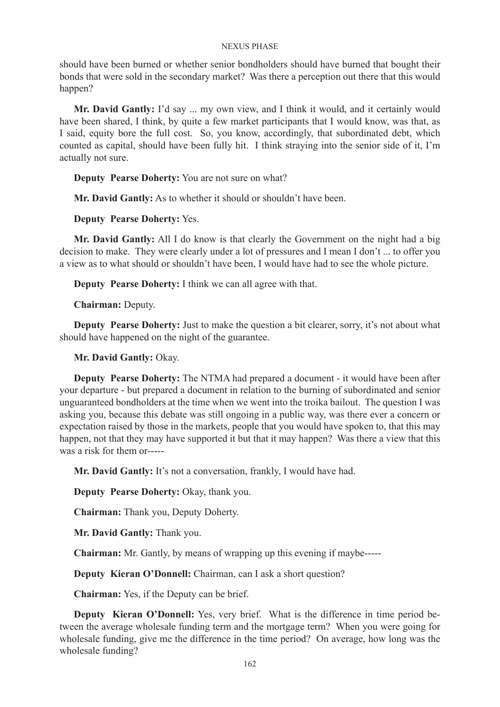should have been burned or whether senior bondholders should have burned that bought their bonds that were sold in the secondary market? Was there a perception out there that this would happen?

**Mr. David Gantly:** I'd say ... my own view, and I think it would, and it certainly would have been shared, I think, by quite a few market participants that I would know, was that, as I said, equity bore the full cost. So, you know, accordingly, that subordinated debt, which counted as capital, should have been fully hit. I think straying into the senior side of it, I'm actually not sure.

**Deputy Pearse Doherty:** You are not sure on what?

**Mr. David Gantly:** As to whether it should or shouldn't have been.

**Deputy Pearse Doherty:** Yes.

**Mr. David Gantly:** All I do know is that clearly the Government on the night had a big decision to make. They were clearly under a lot of pressures and I mean I don't ... to offer you a view as to what should or shouldn't have been, I would have had to see the whole picture.

**Deputy Pearse Doherty:** I think we can all agree with that.

**Chairman:** Deputy.

**Deputy Pearse Doherty:** Just to make the question a bit clearer, sorry, it's not about what should have happened on the night of the guarantee.

**Mr. David Gantly:** Okay.

**Deputy Pearse Doherty:** The NTMA had prepared a document - it would have been after your departure - but prepared a document in relation to the burning of subordinated and senior unguaranteed bondholders at the time when we went into the troika bailout. The question I was asking you, because this debate was still ongoing in a public way, was there ever a concern or expectation raised by those in the markets, people that you would have spoken to, that this may happen, not that they may have supported it but that it may happen? Was there a view that this was a risk for them or-----

**Mr. David Gantly:** It's not a conversation, frankly, I would have had.

**Deputy Pearse Doherty:** Okay, thank you.

**Chairman:** Thank you, Deputy Doherty.

**Mr. David Gantly:** Thank you.

**Chairman:** Mr. Gantly, by means of wrapping up this evening if maybe-----

**Deputy Kieran O'Donnell:** Chairman, can I ask a short question?

**Chairman:** Yes, if the Deputy can be brief.

**Deputy Kieran O'Donnell:** Yes, very brief. What is the difference in time period between the average wholesale funding term and the mortgage term? When you were going for wholesale funding, give me the difference in the time period? On average, how long was the wholesale funding?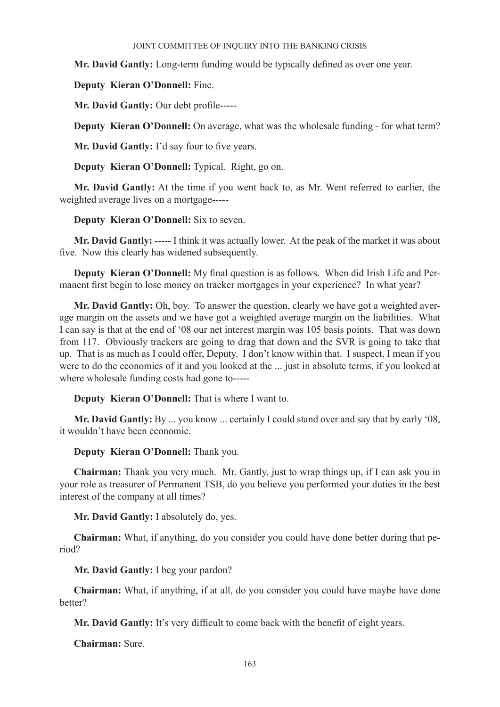**Mr. David Gantly:** Long-term funding would be typically defined as over one year.

**Deputy Kieran O'Donnell:** Fine.

**Mr. David Gantly:** Our debt profile-----

**Deputy Kieran O'Donnell:** On average, what was the wholesale funding - for what term?

**Mr. David Gantly:** I'd say four to five years.

**Deputy Kieran O'Donnell:** Typical. Right, go on.

**Mr. David Gantly:** At the time if you went back to, as Mr. Went referred to earlier, the weighted average lives on a mortgage-----

# **Deputy Kieran O'Donnell:** Six to seven.

**Mr. David Gantly:** ----- I think it was actually lower. At the peak of the market it was about five. Now this clearly has widened subsequently.

**Deputy Kieran O'Donnell:** My final question is as follows. When did Irish Life and Permanent first begin to lose money on tracker mortgages in your experience? In what year?

**Mr. David Gantly:** Oh, boy. To answer the question, clearly we have got a weighted average margin on the assets and we have got a weighted average margin on the liabilities. What I can say is that at the end of '08 our net interest margin was 105 basis points. That was down from 117. Obviously trackers are going to drag that down and the SVR is going to take that up. That is as much as I could offer, Deputy. I don't know within that. I suspect, I mean if you were to do the economics of it and you looked at the ... just in absolute terms, if you looked at where wholesale funding costs had gone to-----

**Deputy Kieran O'Donnell:** That is where I want to.

**Mr. David Gantly:** By ... you know ... certainly I could stand over and say that by early '08, it wouldn't have been economic.

**Deputy Kieran O'Donnell:** Thank you.

**Chairman:** Thank you very much. Mr. Gantly, just to wrap things up, if I can ask you in your role as treasurer of Permanent TSB, do you believe you performed your duties in the best interest of the company at all times?

**Mr. David Gantly:** I absolutely do, yes.

**Chairman:** What, if anything, do you consider you could have done better during that period?

**Mr. David Gantly:** I beg your pardon?

**Chairman:** What, if anything, if at all, do you consider you could have maybe have done better?

**Mr. David Gantly:** It's very difficult to come back with the benefit of eight years.

**Chairman:** Sure.